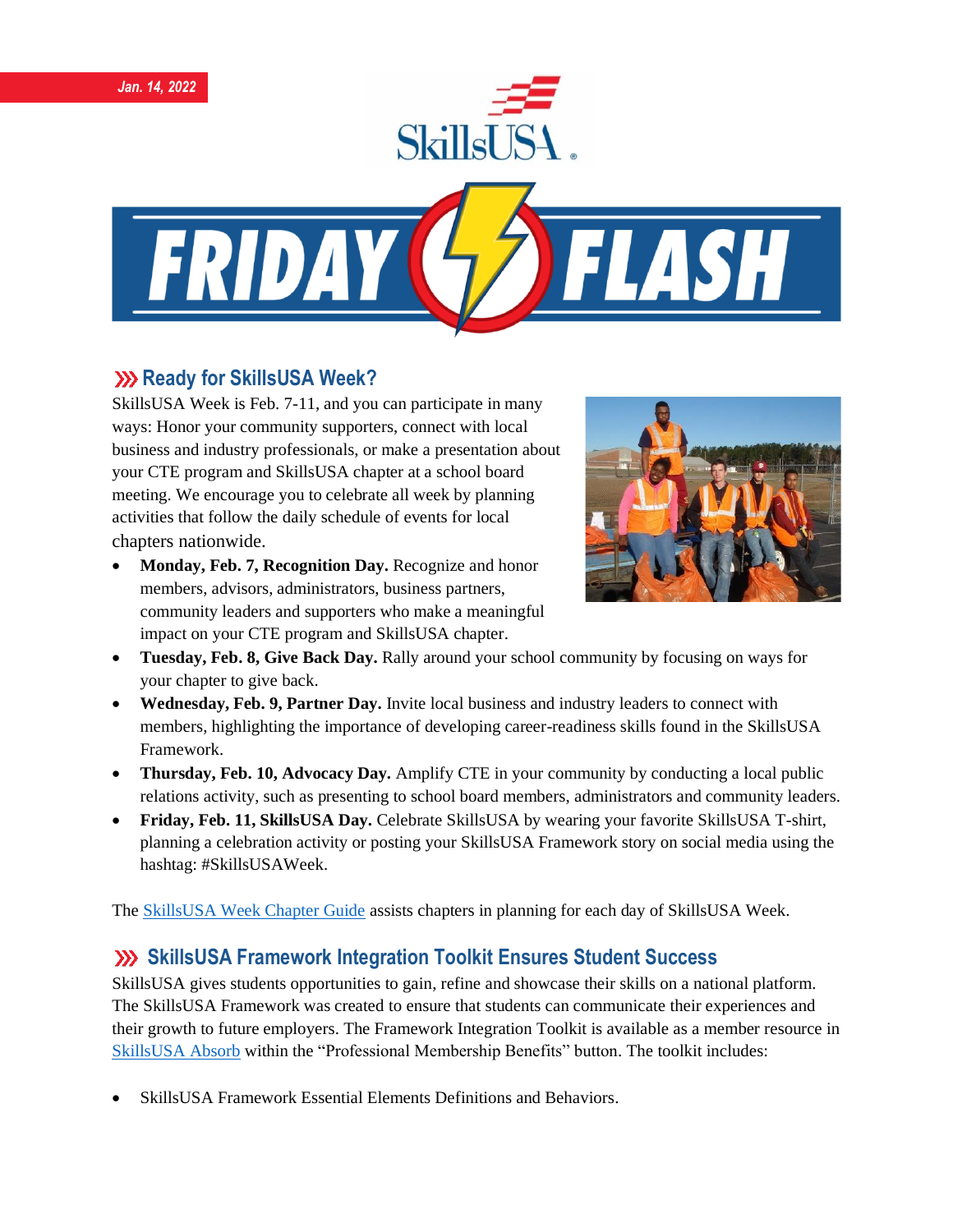





## **XX** Ready for SkillsUSA Week?

SkillsUSA Week is Feb. 7-11, and you can participate in many ways: Honor your community supporters, connect with local business and industry professionals, or make a presentation about your CTE program and SkillsUSA chapter at a school board meeting. We encourage you to celebrate all week by planning activities that follow the daily schedule of events for local chapters nationwide.

• **Monday, Feb. 7, Recognition Day.** Recognize and honor members, advisors, administrators, business partners, community leaders and supporters who make a meaningful impact on your CTE program and SkillsUSA chapter.



- **Tuesday, Feb. 8, Give Back Day.** Rally around your school community by focusing on ways for your chapter to give back.
- **Wednesday, Feb. 9, Partner Day.** Invite local business and industry leaders to connect with members, highlighting the importance of developing career-readiness skills found in the SkillsUSA Framework.
- **Thursday, Feb. 10, Advocacy Day.** Amplify CTE in your community by conducting a local public relations activity, such as presenting to school board members, administrators and community leaders.
- **Friday, Feb. 11, SkillsUSA Day.** Celebrate SkillsUSA by wearing your favorite SkillsUSA T-shirt, planning a celebration activity or posting your SkillsUSA Framework story on social media using the hashtag: #SkillsUSAWeek.

The [SkillsUSA Week Chapter Guide](https://www.skillsusa.org/events-training/skillsusa-week/) assists chapters in planning for each day of SkillsUSA Week.

## **SkillsUSA Framework Integration Toolkit Ensures Student Success**

SkillsUSA gives students opportunities to gain, refine and showcase their skills on a national platform. The SkillsUSA Framework was created to ensure that students can communicate their experiences and their growth to future employers. The Framework Integration Toolkit is available as a member resource in [SkillsUSA Absorb](https://absorb.skillsusa.org/#/dashboard) within the "Professional Membership Benefits" button. The toolkit includes:

• SkillsUSA Framework Essential Elements Definitions and Behaviors.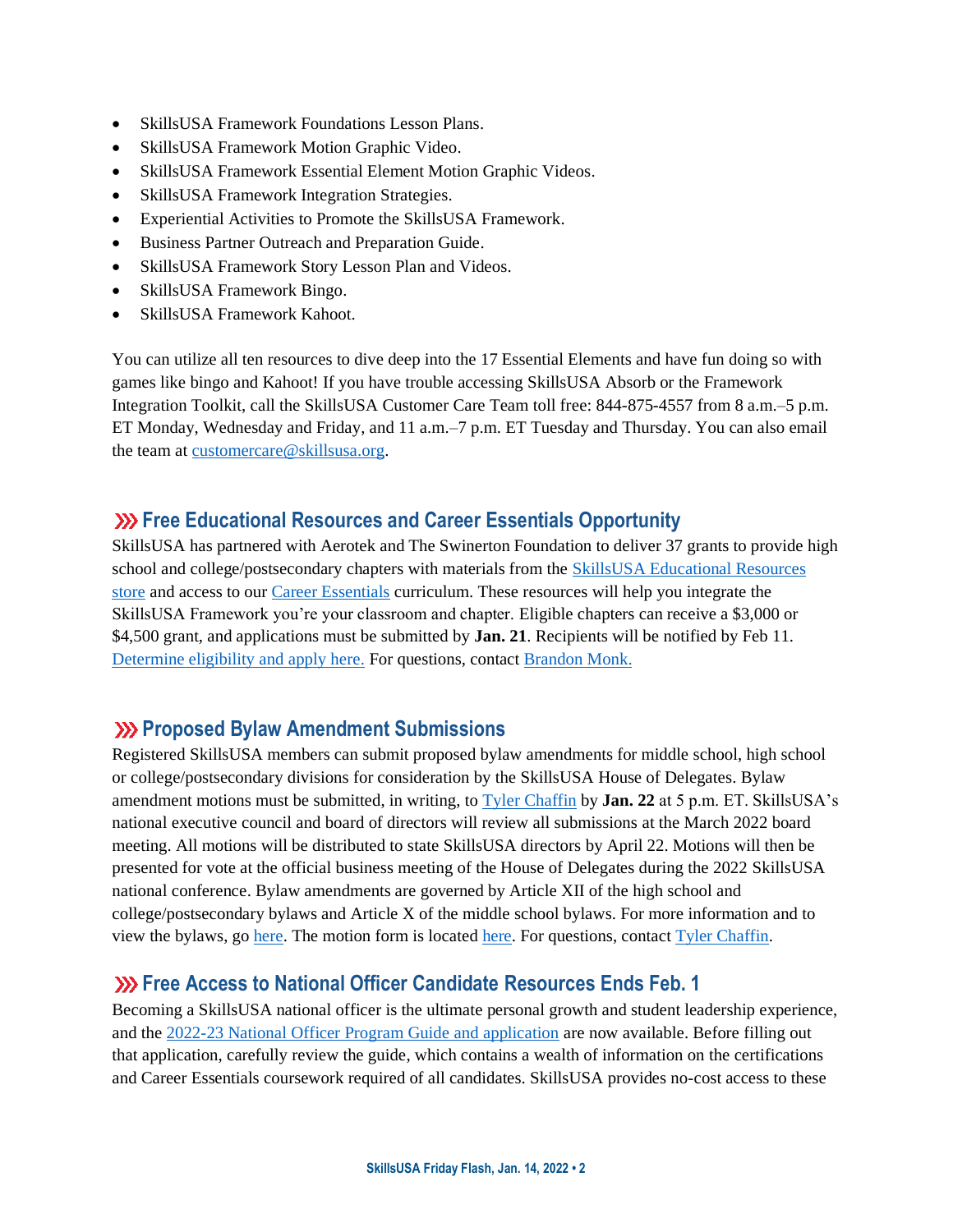- SkillsUSA Framework Foundations Lesson Plans.
- SkillsUSA Framework Motion Graphic Video.
- SkillsUSA Framework Essential Element Motion Graphic Videos.
- SkillsUSA Framework Integration Strategies.
- Experiential Activities to Promote the SkillsUSA Framework.
- Business Partner Outreach and Preparation Guide.
- SkillsUSA Framework Story Lesson Plan and Videos.
- SkillsUSA Framework Bingo.
- SkillsUSA Framework Kahoot.

You can utilize all ten resources to dive deep into the 17 Essential Elements and have fun doing so with games like bingo and Kahoot! If you have trouble accessing SkillsUSA Absorb or the Framework Integration Toolkit, call the SkillsUSA Customer Care Team toll free: 844-875-4557 from 8 a.m.–5 p.m. ET Monday, Wednesday and Friday, and 11 a.m.–7 p.m. ET Tuesday and Thursday. You can also email the team at [customercare@skillsusa.org.](mailto:customercare@skillsusa.org)

#### **Free Educational Resources and Career Essentials Opportunity**

SkillsUSA has partnered with Aerotek and The Swinerton Foundation to deliver 37 grants to provide high school and college/postsecondary chapters with materials from the [SkillsUSA Educational Resources](https://www.skillsusastore.net/)  [store](https://www.skillsusastore.net/) and access to our [Career Essentials](https://www.careeressentials.org/) curriculum. These resources will help you integrate the SkillsUSA Framework you're your classroom and chapter. Eligible chapters can receive a \$3,000 or \$4,500 grant, and applications must be submitted by **Jan. 21**. Recipients will be notified by Feb 11. [Determine eligibility and apply here.](https://skillsusa.wufoo.com/forms/q1q5yuqh13tjdpk/) For questions, contact [Brandon Monk.](mailto:bmonk@skillsusa.org)

#### **Proposed Bylaw Amendment Submissions**

Registered SkillsUSA members can submit proposed bylaw amendments for middle school, high school or college/postsecondary divisions for consideration by the SkillsUSA House of Delegates. Bylaw amendment motions must be submitted, in writing, to [Tyler Chaffin](mailto:tchaffin@skillsusa.org) by **Jan. 22** at 5 p.m. ET. SkillsUSA's national executive council and board of directors will review all submissions at the March 2022 board meeting. All motions will be distributed to state SkillsUSA directors by April 22. Motions will then be presented for vote at the official business meeting of the House of Delegates during the 2022 SkillsUSA national conference. Bylaw amendments are governed by Article XII of the high school and college/postsecondary bylaws and Article X of the middle school bylaws. For more information and to view the bylaws, g[o here.](https://www.skillsusa.org/events-training/national-leadership-and-skills-conference/delegate-sessions/) The motion form is locate[d here.](https://skillsusa.wufoo.com/forms/m1grk6qr1j8vz5i/) For questions, contac[t Tyler Chaffin.](mailto:tchaffin@skillsusa.org)

#### **Example 23 Free Access to National Officer Candidate Resources Ends Feb. 1**

Becoming a SkillsUSA national officer is the ultimate personal growth and student leadership experience, and the [2022-23 National Officer Program Guide and application](https://www.skillsusa.org/membership-resources/students/national-officer-election-process/) are now available. Before filling out that application, carefully review the guide, which contains a wealth of information on the certifications and Career Essentials coursework required of all candidates. SkillsUSA provides no-cost access to these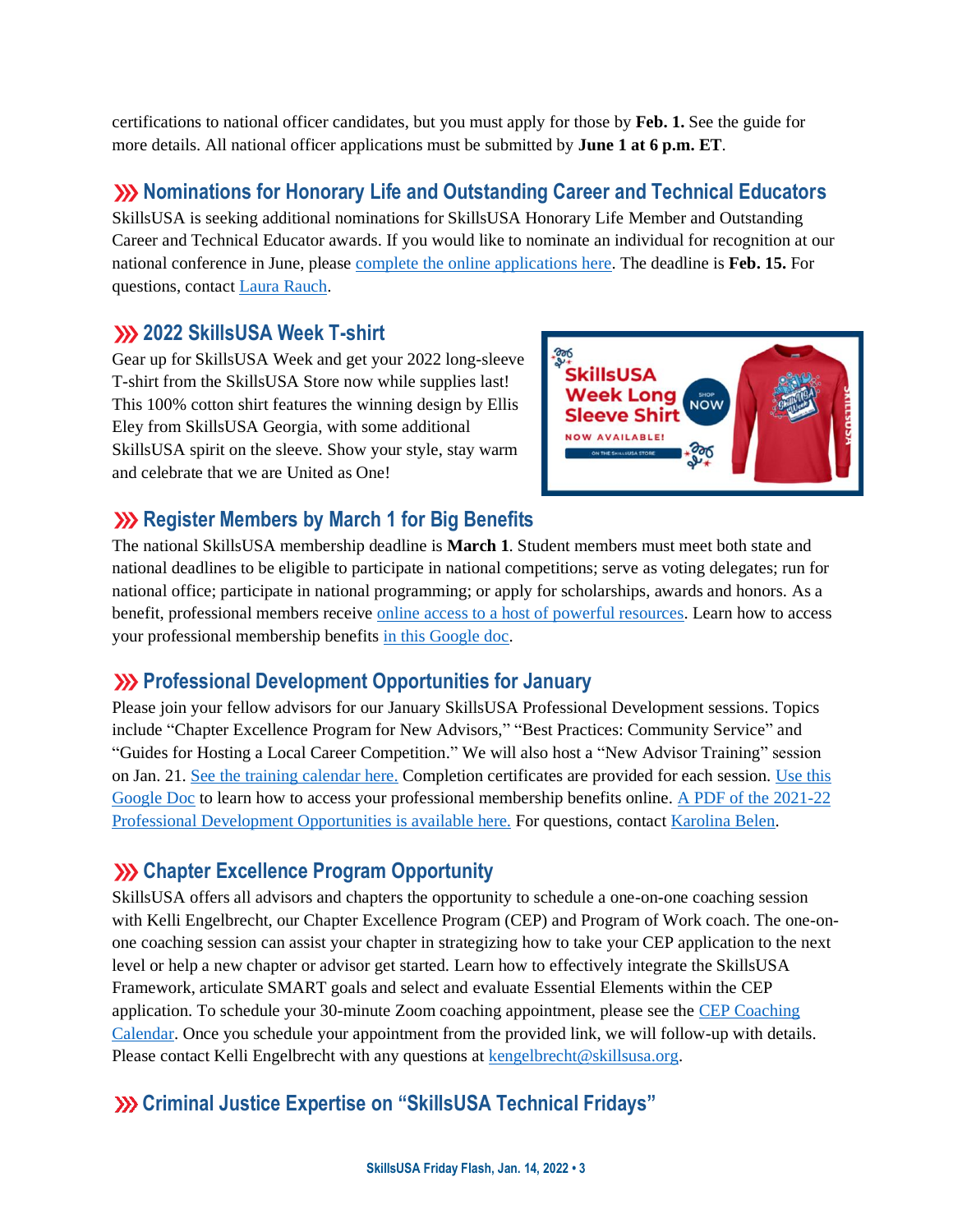certifications to national officer candidates, but you must apply for those by **Feb. 1.** See the guide for more details. All national officer applications must be submitted by **June 1 at 6 p.m. ET**.

## **W** Nominations for Honorary Life and Outstanding Career and Technical Educators

SkillsUSA is seeking additional nominations for SkillsUSA Honorary Life Member and Outstanding Career and Technical Educator awards. If you would like to nominate an individual for recognition at our national conference in June, please [complete the online applications here.](https://www.skillsusa.org/membership-resources/awards/) The deadline is **Feb. 15.** For questions, contac[t Laura Rauch.](mailto:lrauch@skillsusa.org)

#### **2022 SkillsUSA Week T-shirt**

Gear up for SkillsUSA Week and get your 2022 long-sleeve T-shirt from the SkillsUSA Store now while supplies last! This 100% cotton shirt features the winning design by Ellis Eley from SkillsUSA Georgia, with some additional SkillsUSA spirit on the sleeve. Show your style, stay warm and celebrate that we are United as One!



## **XXX** Register Members by March 1 for Big Benefits

The national SkillsUSA membership deadline is **March 1**. Student members must meet both state and national deadlines to be eligible to participate in national competitions; serve as voting delegates; run for national office; participate in national programming; or apply for scholarships, awards and honors. As a benefit, professional members receive [online access to a host of powerful resources.](https://www.skillsusa.org/accordions/benefits-of-membership/) Learn how to access your professional membership benefits [in this Google doc.](https://docs.google.com/document/d/1d2EvwsmdelNzm-WK7pTGSokJTbWZXcFDOODai32SGzk/edit)

## **Professional Development Opportunities for January**

Please join your fellow advisors for our January SkillsUSA Professional Development sessions. Topics include "Chapter Excellence Program for New Advisors," "Best Practices: Community Service" and "Guides for Hosting a Local Career Competition." We will also host a "New Advisor Training" session on Jan. 21. [See the training calendar here.](https://www.skillsusa.org/events-training/national-leadership-and-skills-conference/delegate-sessions/) Completion certificates are provided for each session. [Use this](https://docs.google.com/document/d/1d2EvwsmdelNzm-WK7pTGSokJTbWZXcFDOODai32SGzk/edit)  [Google Doc](https://docs.google.com/document/d/1d2EvwsmdelNzm-WK7pTGSokJTbWZXcFDOODai32SGzk/edit) to learn how to access your professional membership benefits online. [A PDF of the 2021-22](https://www.skillsusa.org/wp-content/uploads/2021/09/SkillsUSA-2021-Professional-Development-Opportunities-v9.pdf)  [Professional Development Opportunities is available here.](https://www.skillsusa.org/wp-content/uploads/2021/09/SkillsUSA-2021-Professional-Development-Opportunities-v9.pdf) For questions, contact [Karolina Belen.](mailto:kbelen@skillsusa.org)

## **XXX** Chapter Excellence Program Opportunity

SkillsUSA offers all advisors and chapters the opportunity to schedule a one-on-one coaching session with Kelli Engelbrecht, our Chapter Excellence Program (CEP) and Program of Work coach. The one-onone coaching session can assist your chapter in strategizing how to take your CEP application to the next level or help a new chapter or advisor get started. Learn how to effectively integrate the SkillsUSA Framework, articulate SMART goals and select and evaluate Essential Elements within the CEP application. To schedule your 30-minute Zoom coaching appointment, please see th[e CEP Coaching](https://calendly.com/skillsusakelli)  [Calendar.](https://calendly.com/skillsusakelli) Once you schedule your appointment from the provided link, we will follow-up with details. Please contact Kelli Engelbrecht with any questions at [kengelbrecht@skillsusa.org.](mailto:kengelbrecht@skillsusa.org)

## **Criminal Justice Expertise on "SkillsUSA Technical Fridays"**